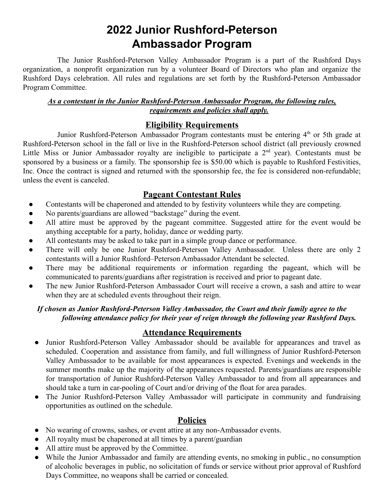# **2022 Junior Rushford-Peterson Ambassador Program**

The Junior Rushford-Peterson Valley Ambassador Program is a part of the Rushford Days organization, a nonprofit organization run by a volunteer Board of Directors who plan and organize the Rushford Days celebration. All rules and regulations are set forth by the Rushford-Peterson Ambassador Program Committee.

#### *As a contestant in the Junior Rushford-Peterson Ambassador Program, the following rules, requirements and policies shall apply.*

## **Eligibility Requirements**

Junior Rushford-Peterson Ambassador Program contestants must be entering 4<sup>th</sup> or 5th grade at Rushford-Peterson school in the fall or live in the Rushford-Peterson school district (all previously crowned Little Miss or Junior Ambassador royalty are ineligible to participate a  $2<sup>nd</sup>$  year). Contestants must be sponsored by a business or a family. The sponsorship fee is \$50.00 which is payable to Rushford Festivities, Inc. Once the contract is signed and returned with the sponsorship fee, the fee is considered non-refundable; unless the event is canceled.

## **Pageant Contestant Rules**

- Contestants will be chaperoned and attended to by festivity volunteers while they are competing.
- No parents/guardians are allowed "backstage" during the event.
- All attire must be approved by the pageant committee. Suggested attire for the event would be anything acceptable for a party, holiday, dance or wedding party.
- All contestants may be asked to take part in a simple group dance or performance.
- There will only be one Junior Rushford-Peterson Valley Ambassador. Unless there are only 2 contestants will a Junior Rushford–Peterson Ambassador Attendant be selected.
- There may be additional requirements or information regarding the pageant, which will be communicated to parents/guardians after registration is received and prior to pageant date.
- The new Junior Rushford-Peterson Ambassador Court will receive a crown, a sash and attire to wear when they are at scheduled events throughout their reign.

### *If chosen as Junior Rushford-Peterson Valley Ambassador, the Court and their family agree to the following attendance policy for their year of reign through the following year Rushford Days.*

## **Attendance Requirements**

- Junior Rushford-Peterson Valley Ambassador should be available for appearances and travel as scheduled. Cooperation and assistance from family, and full willingness of Junior Rushford-Peterson Valley Ambassador to be available for most appearances is expected. Evenings and weekends in the summer months make up the majority of the appearances requested. Parents/guardians are responsible for transportation of Junior Rushford-Peterson Valley Ambassador to and from all appearances and should take a turn in car-pooling of Court and/or driving of the float for area parades.
- The Junior Rushford-Peterson Valley Ambassador will participate in community and fundraising opportunities as outlined on the schedule.

### **Policies**

- No wearing of crowns, sashes, or event attire at any non-Ambassador events.
- All royalty must be chaperoned at all times by a parent/guardian
- All attire must be approved by the Committee.
- While the Junior Ambassador and family are attending events, no smoking in public., no consumption of alcoholic beverages in public, no solicitation of funds or service without prior approval of Rushford Days Committee, no weapons shall be carried or concealed.